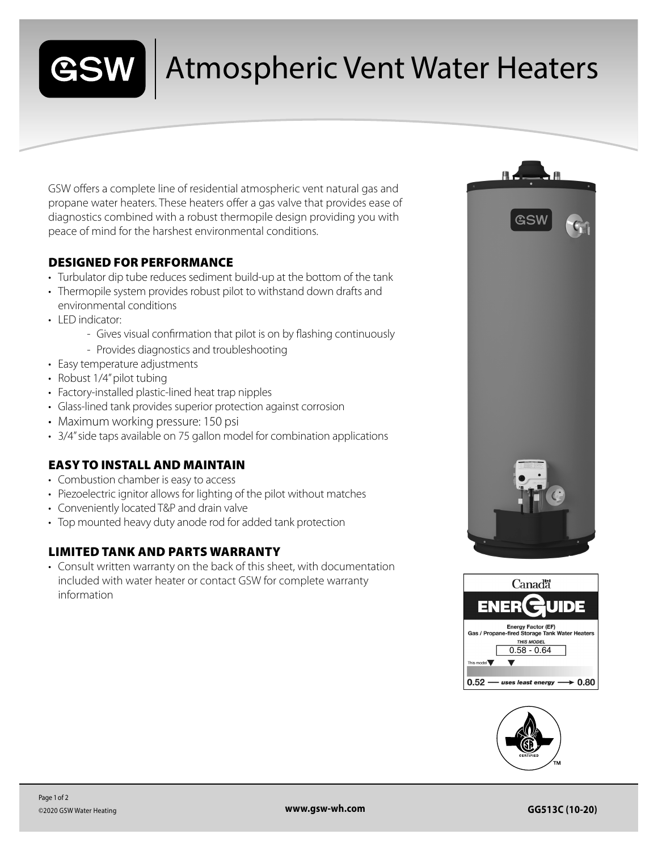

## Atmospheric Vent Water Heaters

GSW offers a complete line of residential atmospheric vent natural gas and propane water heaters. These heaters offer a gas valve that provides ease of diagnostics combined with a robust thermopile design providing you with peace of mind for the harshest environmental conditions.

#### DESIGNED FOR PERFORMANCE

- Turbulator dip tube reduces sediment build-up at the bottom of the tank
- Thermopile system provides robust pilot to withstand down drafts and environmental conditions
- LED indicator:
	- Gives visual confirmation that pilot is on by flashing continuously
	- Provides diagnostics and troubleshooting
- Easy temperature adjustments
- Robust 1/4" pilot tubing
- Factory-installed plastic-lined heat trap nipples
- Glass-lined tank provides superior protection against corrosion
- Maximum working pressure: 150 psi
- 3/4" side taps available on 75 gallon model for combination applications

### EASY TO INSTALL AND MAINTAIN

- Combustion chamber is easy to access
- Piezoelectric ignitor allows for lighting of the pilot without matches
- Conveniently located T&P and drain valve
- Top mounted heavy duty anode rod for added tank protection

#### LIMITED TANK AND PARTS WARRANTY

• Consult written warranty on the back of this sheet, with documentation included with water heater or contact GSW for complete warranty information